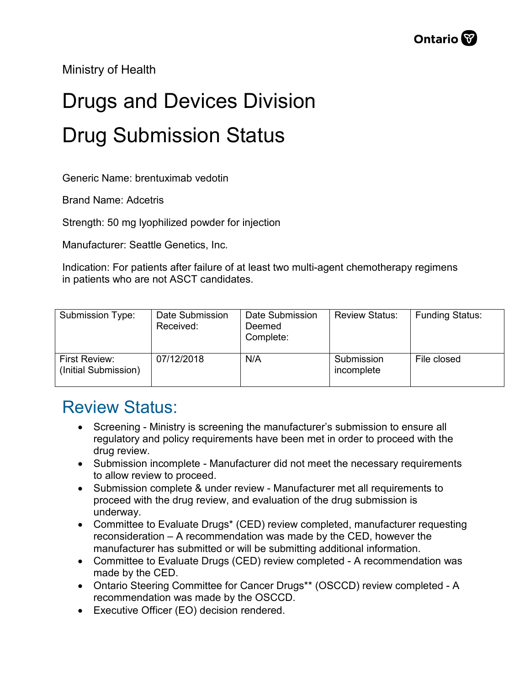Ministry of Health

## Drugs and Devices Division Drug Submission Status

Generic Name: brentuximab vedotin

Brand Name: Adcetris

Strength: 50 mg lyophilized powder for injection

Manufacturer: Seattle Genetics, Inc.

Indication: For patients after failure of at least two multi-agent chemotherapy regimens in patients who are not ASCT candidates.

| Submission Type:                      | Date Submission<br>Received: | Date Submission<br>Deemed<br>Complete: | <b>Review Status:</b>    | <b>Funding Status:</b> |
|---------------------------------------|------------------------------|----------------------------------------|--------------------------|------------------------|
| First Review:<br>(Initial Submission) | 07/12/2018                   | N/A                                    | Submission<br>incomplete | File closed            |

## Review Status:

- Screening Ministry is screening the manufacturer's submission to ensure all regulatory and policy requirements have been met in order to proceed with the drug review.
- Submission incomplete Manufacturer did not meet the necessary requirements to allow review to proceed.
- Submission complete & under review Manufacturer met all requirements to proceed with the drug review, and evaluation of the drug submission is underway.
- Committee to Evaluate Drugs\* (CED) review completed, manufacturer requesting reconsideration – A recommendation was made by the CED, however the manufacturer has submitted or will be submitting additional information.
- Committee to Evaluate Drugs (CED) review completed A recommendation was made by the CED.
- Ontario Steering Committee for Cancer Drugs\*\* (OSCCD) review completed A recommendation was made by the OSCCD.
- Executive Officer (EO) decision rendered.